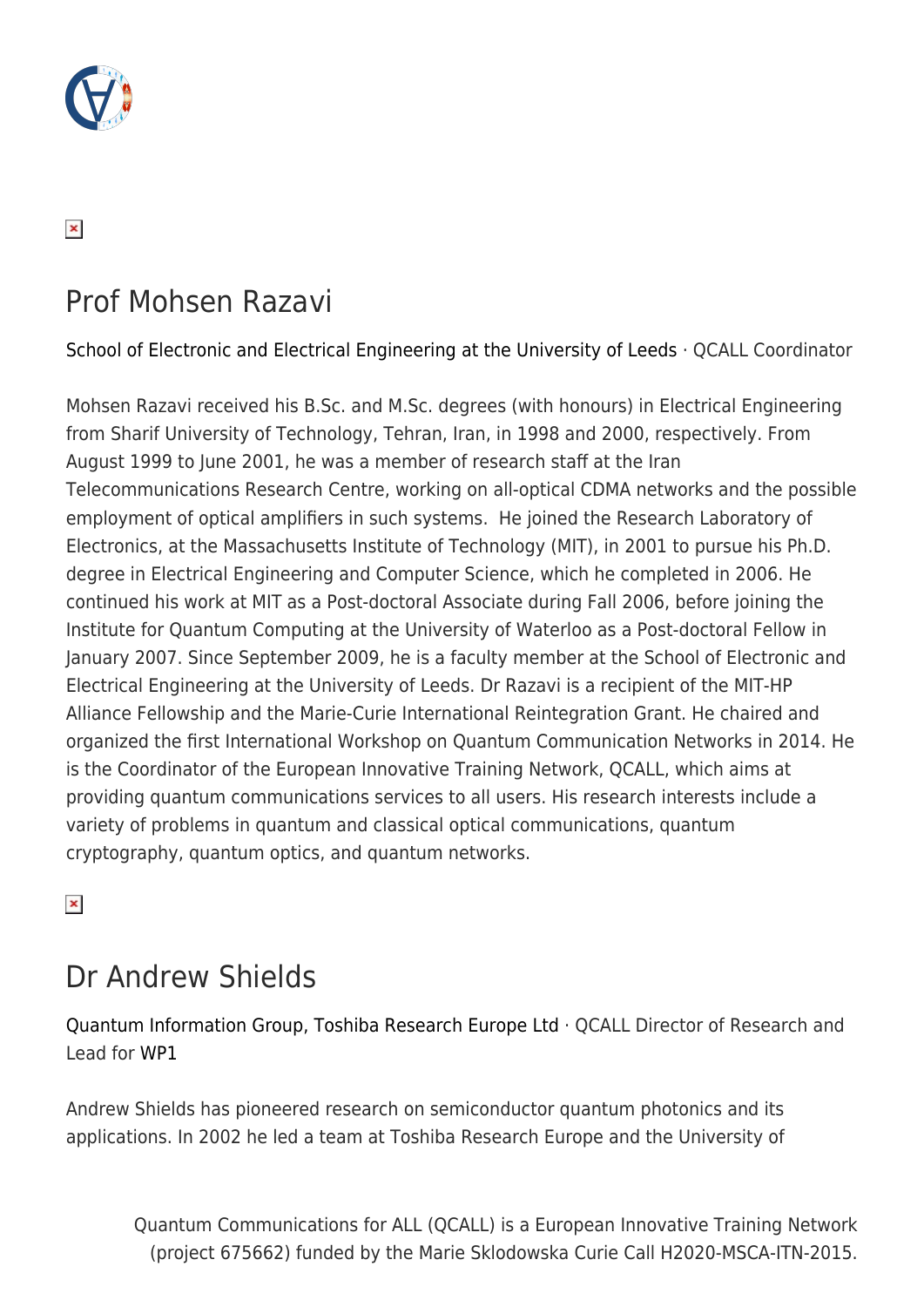

### $\pmb{\times}$

### Prof Mohsen Razavi

[School of Electronic and Electrical Engineering at the University of Leeds](https://engineering.leeds.ac.uk/electronic) · QCALL Coordinator

Mohsen Razavi received his B.Sc. and M.Sc. degrees (with honours) in Electrical Engineering from Sharif University of Technology, Tehran, Iran, in 1998 and 2000, respectively. From August 1999 to June 2001, he was a member of research staff at the Iran Telecommunications Research Centre, working on all-optical CDMA networks and the possible employment of optical amplifiers in such systems. He joined the Research Laboratory of Electronics, at the Massachusetts Institute of Technology (MIT), in 2001 to pursue his Ph.D. degree in Electrical Engineering and Computer Science, which he completed in 2006. He continued his work at MIT as a Post-doctoral Associate during Fall 2006, before joining the Institute for Quantum Computing at the University of Waterloo as a Post-doctoral Fellow in January 2007. Since September 2009, he is a faculty member at the School of Electronic and Electrical Engineering at the University of Leeds. Dr Razavi is a recipient of the MIT-HP Alliance Fellowship and the Marie-Curie International Reintegration Grant. He chaired and organized the first International Workshop on Quantum Communication Networks in 2014. He is the Coordinator of the European Innovative Training Network, QCALL, which aims at providing quantum communications services to all users. His research interests include a variety of problems in quantum and classical optical communications, quantum cryptography, quantum optics, and quantum networks.

 $\pmb{\times}$ 

# Dr Andrew Shields

[Quantum Information Group, Toshiba Research Europe Ltd](http://www.toshiba.eu/eu/Cambridge-Research-Laboratory/Quantum-Information-Group/) · QCALL Director of Research and Lead for [WP1](http://www.qcall-itn.eu/research/#WP1)

Andrew Shields has pioneered research on semiconductor quantum photonics and its applications. In 2002 he led a team at Toshiba Research Europe and the University of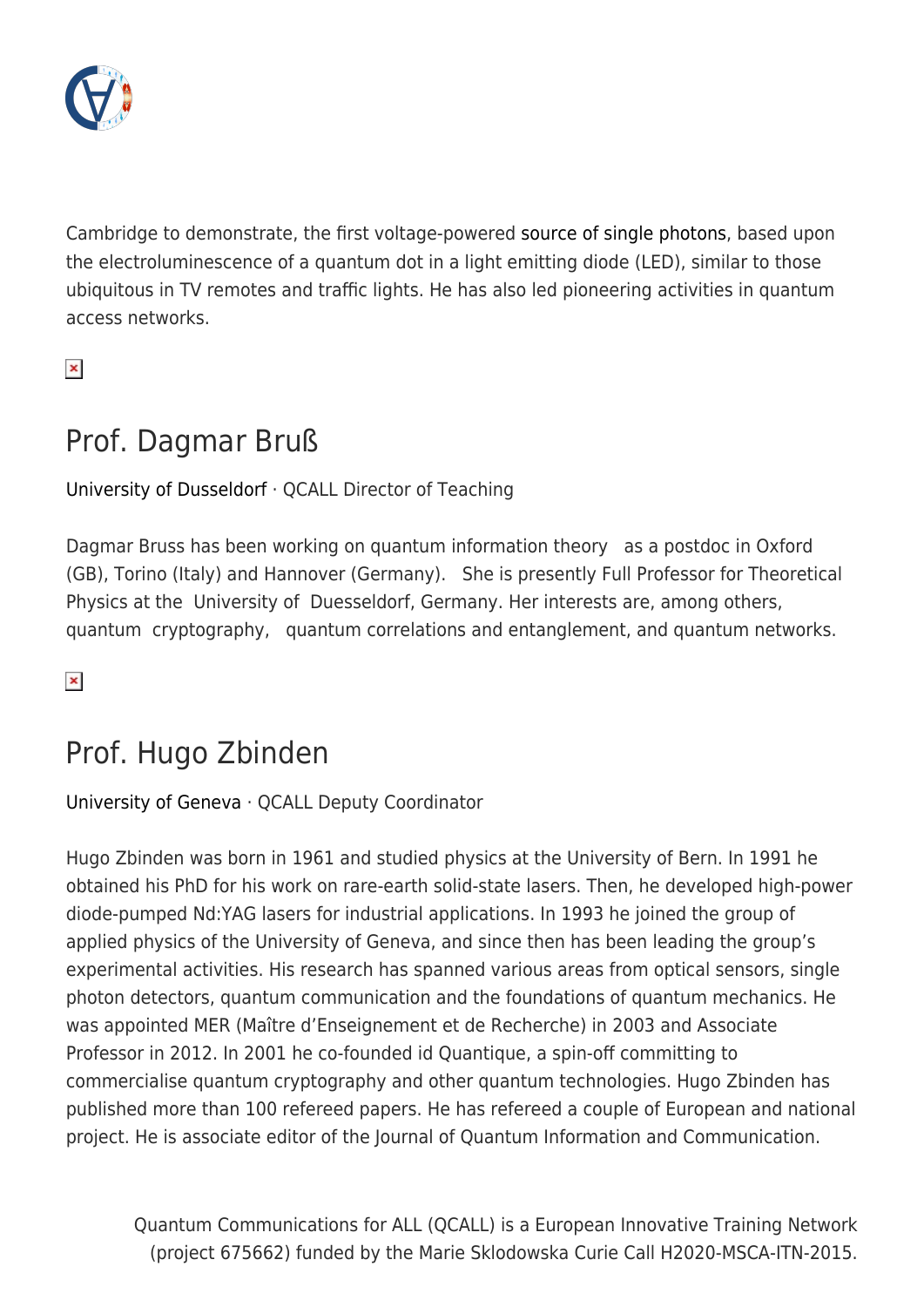

Cambridge to demonstrate, the first voltage-powered [source of single photons](http://www.iop.org/about/awards/silver/condensed-matter-and-nanoscale/mott-medallists/page_60383.html), based upon the electroluminescence of a quantum dot in a light emitting diode (LED), similar to those ubiquitous in TV remotes and traffic lights. He has also led pioneering activities in quantum access networks.

 $\pmb{\times}$ 

## Prof. Dagmar Bruß

#### [University of Dusseldorf](https://www.uni-duesseldorf.de/home/en/home.html) · QCALL Director of Teaching

Dagmar Bruss has been working on quantum information theory as a postdoc in Oxford (GB), Torino (Italy) and Hannover (Germany). She is presently Full Professor for Theoretical Physics at the University of Duesseldorf, Germany. Her interests are, among others, quantum cryptography, quantum correlations and entanglement, and quantum networks.

 $\pmb{\times}$ 

### Prof. Hugo Zbinden

#### [University of Geneva](http://www.unige.ch/international/en/) · QCALL Deputy Coordinator

Hugo Zbinden was born in 1961 and studied physics at the University of Bern. In 1991 he obtained his PhD for his work on rare-earth solid-state lasers. Then, he developed high-power diode-pumped Nd:YAG lasers for industrial applications. In 1993 he joined the group of applied physics of the University of Geneva, and since then has been leading the group's experimental activities. His research has spanned various areas from optical sensors, single photon detectors, quantum communication and the foundations of quantum mechanics. He was appointed MER (Maître d'Enseignement et de Recherche) in 2003 and Associate Professor in 2012. In 2001 he co-founded id Quantique, a spin-off committing to commercialise quantum cryptography and other quantum technologies. Hugo Zbinden has published more than 100 refereed papers. He has refereed a couple of European and national project. He is associate editor of the Journal of Quantum Information and Communication.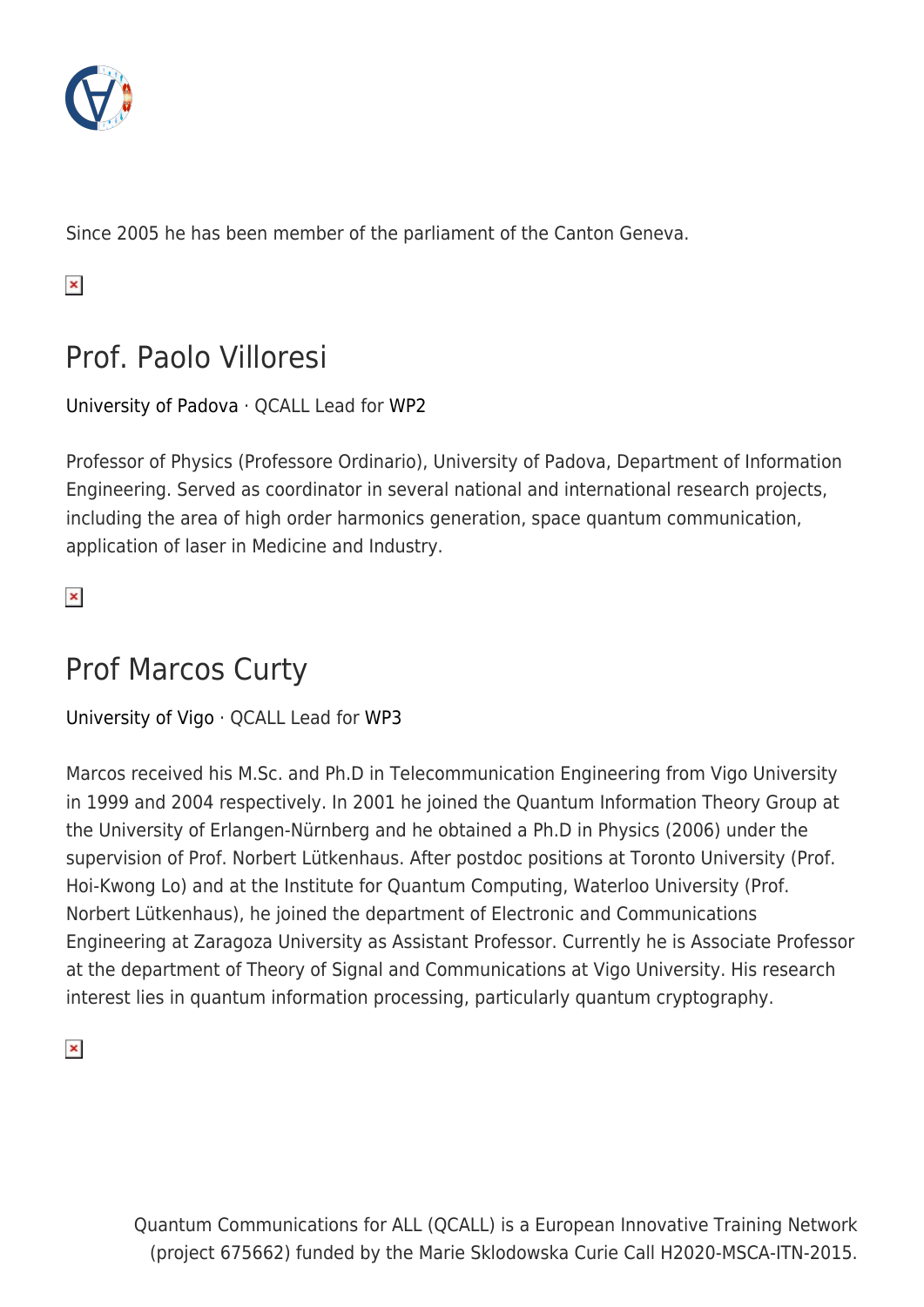

Since 2005 he has been member of the parliament of the Canton Geneva.

 $\pmb{\times}$ 

# Prof. Paolo Villoresi

#### [University of Padova](http://www.unipd.it/en/) · QCALL Lead for [WP2](http://www.qcall-itn.eu/research/#WP2)

Professor of Physics (Professore Ordinario), University of Padova, Department of Information Engineering. Served as coordinator in several national and international research projects, including the area of high order harmonics generation, space quantum communication, application of laser in Medicine and Industry.

 $\pmb{\times}$ 

# Prof Marcos Curty

[University of Vigo](https://www.uvigo.gal/uvigo_en/) · QCALL Lead for [WP3](http://www.qcall-itn.eu/research/#WP3)

Marcos received his M.Sc. and Ph.D in Telecommunication Engineering from Vigo University in 1999 and 2004 respectively. In 2001 he joined the Quantum Information Theory Group at the University of Erlangen-Nürnberg and he obtained a Ph.D in Physics (2006) under the supervision of Prof. Norbert Lütkenhaus. After postdoc positions at Toronto University (Prof. Hoi-Kwong Lo) and at the Institute for Quantum Computing, Waterloo University (Prof. Norbert Lütkenhaus), he joined the department of Electronic and Communications Engineering at Zaragoza University as Assistant Professor. Currently he is Associate Professor at the department of Theory of Signal and Communications at Vigo University. His research interest lies in quantum information processing, particularly quantum cryptography.

 $\pmb{\times}$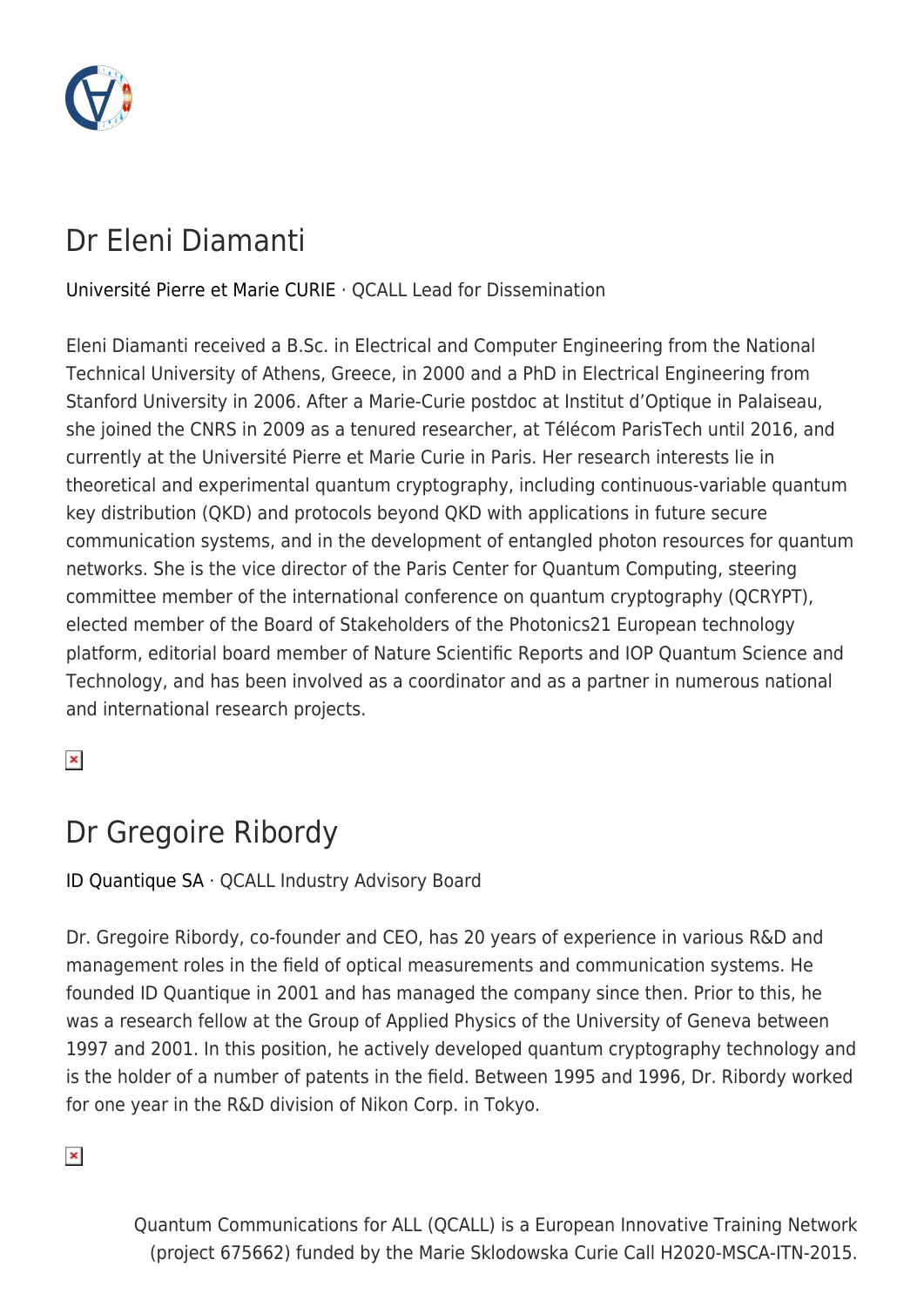

# Dr Eleni Diamanti

[Université Pierre et Marie CURIE](http://www.upmc.fr/en/) · QCALL Lead for Dissemination

Eleni Diamanti received a B.Sc. in Electrical and Computer Engineering from the National Technical University of Athens, Greece, in 2000 and a PhD in Electrical Engineering from Stanford University in 2006. After a Marie-Curie postdoc at Institut d'Optique in Palaiseau, she joined the CNRS in 2009 as a tenured researcher, at Télécom ParisTech until 2016, and currently at the Université Pierre et Marie Curie in Paris. Her research interests lie in theoretical and experimental quantum cryptography, including continuous-variable quantum key distribution (QKD) and protocols beyond QKD with applications in future secure communication systems, and in the development of entangled photon resources for quantum networks. She is the vice director of the Paris Center for Quantum Computing, steering committee member of the international conference on quantum cryptography (QCRYPT), elected member of the Board of Stakeholders of the Photonics21 European technology platform, editorial board member of Nature Scientific Reports and IOP Quantum Science and Technology, and has been involved as a coordinator and as a partner in numerous national and international research projects.

 $\pmb{\times}$ 

# Dr Gregoire Ribordy

[ID Quantique SA](http://www.idquantique.com/) · QCALL Industry Advisory Board

Dr. Gregoire Ribordy, co-founder and CEO, has 20 years of experience in various R&D and management roles in the field of optical measurements and communication systems. He founded ID Quantique in 2001 and has managed the company since then. Prior to this, he was a research fellow at the Group of Applied Physics of the University of Geneva between 1997 and 2001. In this position, he actively developed quantum cryptography technology and is the holder of a number of patents in the field. Between 1995 and 1996, Dr. Ribordy worked for one year in the R&D division of Nikon Corp. in Tokyo.

 $\pmb{\times}$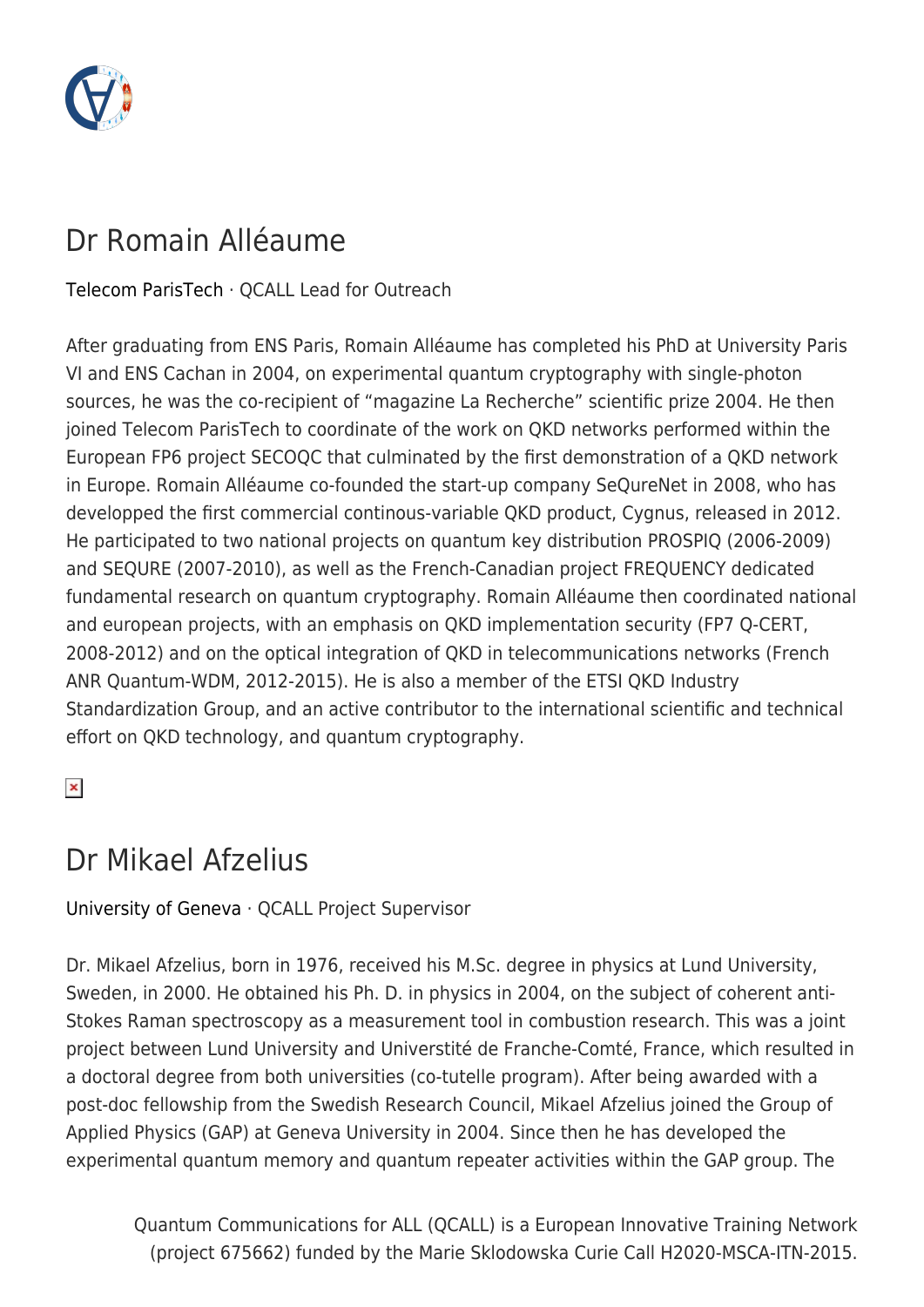

## Dr Romain Alléaume

[Telecom ParisTech](http://www.telecom-paristech.fr/eng/) · QCALL Lead for Outreach

After graduating from ENS Paris, Romain Alléaume has completed his PhD at University Paris VI and ENS Cachan in 2004, on experimental quantum cryptography with single-photon sources, he was the co-recipient of "magazine La Recherche" scientific prize 2004. He then joined Telecom ParisTech to coordinate of the work on QKD networks performed within the European FP6 project SECOQC that culminated by the first demonstration of a QKD network in Europe. Romain Alléaume co-founded the start-up company SeQureNet in 2008, who has developped the first commercial continous-variable QKD product, Cygnus, released in 2012. He participated to two national projects on quantum key distribution PROSPIQ (2006-2009) and SEQURE (2007-2010), as well as the French-Canadian project FREQUENCY dedicated fundamental research on quantum cryptography. Romain Alléaume then coordinated national and european projects, with an emphasis on QKD implementation security (FP7 Q-CERT, 2008-2012) and on the optical integration of QKD in telecommunications networks (French ANR Quantum-WDM, 2012-2015). He is also a member of the ETSI QKD Industry Standardization Group, and an active contributor to the international scientific and technical effort on QKD technology, and quantum cryptography.

 $\pmb{\times}$ 

## Dr Mikael Afzelius

#### [University of Geneva](http://www.unige.ch/international/en/) · QCALL Project Supervisor

Dr. Mikael Afzelius, born in 1976, received his M.Sc. degree in physics at Lund University, Sweden, in 2000. He obtained his Ph. D. in physics in 2004, on the subject of coherent anti-Stokes Raman spectroscopy as a measurement tool in combustion research. This was a joint project between Lund University and Universtité de Franche-Comté, France, which resulted in a doctoral degree from both universities (co-tutelle program). After being awarded with a post-doc fellowship from the Swedish Research Council, Mikael Afzelius joined the Group of Applied Physics (GAP) at Geneva University in 2004. Since then he has developed the experimental quantum memory and quantum repeater activities within the GAP group. The